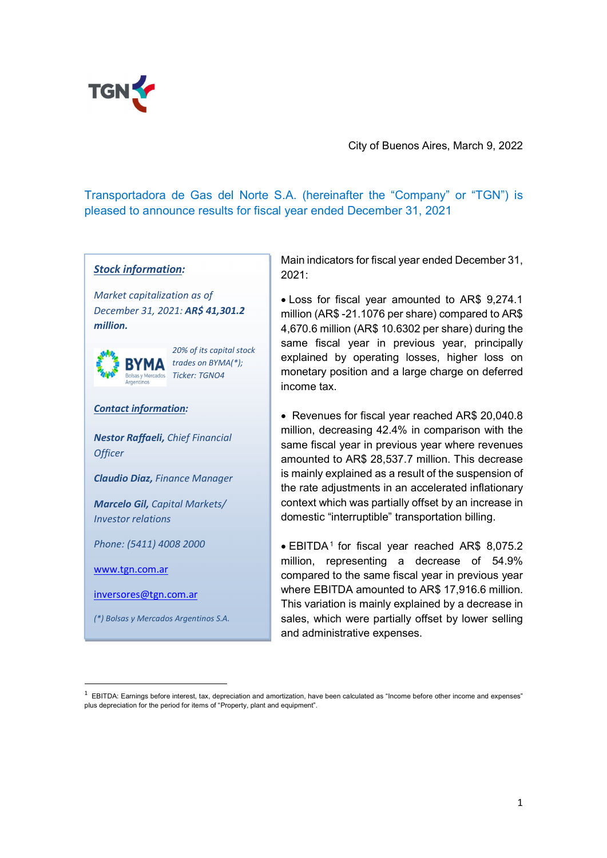

City of Buenos Aires, March 9, 2022

Transportadora de Gas del Norte S.A. (hereinafter the "Company" or "TGN") is pleased to announce results for fiscal year ended December 31, 2021<br>
Main indicators for fiscal year ended December 31,

#### Stock information:

Market capitalization as of December 31, 2021: AR\$ 41,301.2 million.



20% of its capital stock trades on BYMA(\*); Ticker: TGNO4

#### Contact information:

Nestor Raffaeli, Chief Financial Officer<br>**Claudio Diaz,** Finance Manager

Marcelo Gil, Capital Markets/ Investor relations

Phone: (5411) 4008 2000

www.tgn.com.ar

inversores@tgn.com.ar

(\*) Bolsas y Mercados Argentinos S.A.

2021:

 Loss for fiscal year amounted to AR\$ 9,274.1 million (AR\$ -21.1076 per share) compared to AR\$ 4,670.6 million (AR\$ 10.6302 per share) during the same fiscal year in previous year, principally explained by operating losses, higher loss on monetary position and a large charge on deferred income tax.

 Revenues for fiscal year reached AR\$ 20,040.8 million, decreasing 42.4% in comparison with the same fiscal year in previous year where revenues amounted to AR\$ 28,537.7 million. This decrease is mainly explained as a result of the suspension of the rate adjustments in an accelerated inflationary context which was partially offset by an increase in domestic "interruptible" transportation billing.

 EBITDA1 for fiscal year reached AR\$ 8,075.2 million, representing a decrease of 54.9% compared to the same fiscal year in previous year where EBITDA amounted to AR\$ 17,916.6 million. This variation is mainly explained by a decrease in sales, which were partially offset by lower selling and administrative expenses.

 $1$  EBITDA: Earnings before interest, tax, depreciation and amortization, have been calculated as "Income before other income and expenses" plus depreciation for the period for items of "Property, plant and equipment".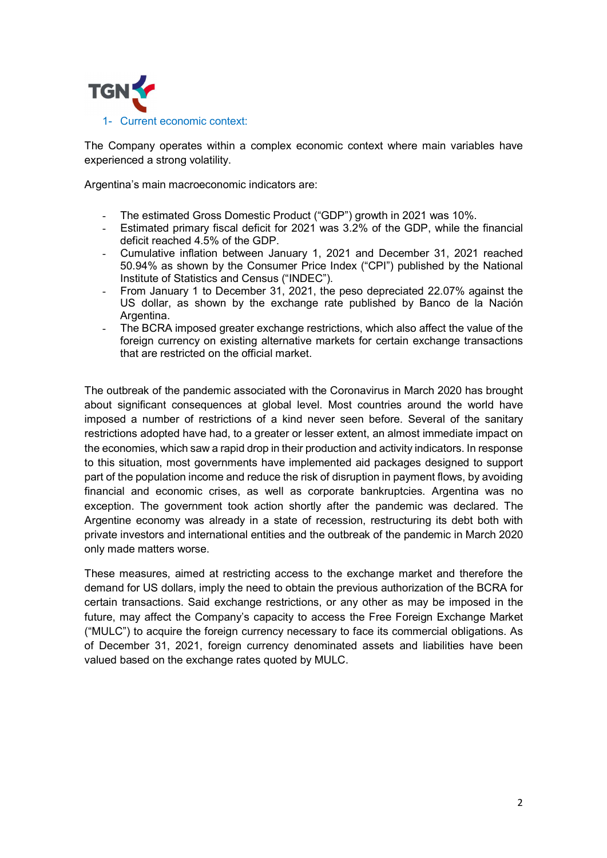

The Company operates within a complex economic context where main variables have experienced a strong volatility.

Argentina's main macroeconomic indicators are:

- The estimated Gross Domestic Product ("GDP") growth in 2021 was 10%.
- Estimated primary fiscal deficit for 2021 was 3.2% of the GDP, while the financial deficit reached 4.5% of the GDP.
- Cumulative inflation between January 1, 2021 and December 31, 2021 reached 50.94% as shown by the Consumer Price Index ("CPI") published by the National Institute of Statistics and Census ("INDEC").
- From January 1 to December 31, 2021, the peso depreciated 22.07% against the US dollar, as shown by the exchange rate published by Banco de la Nación Argentina.
- The BCRA imposed greater exchange restrictions, which also affect the value of the foreign currency on existing alternative markets for certain exchange transactions that are restricted on the official market.

The outbreak of the pandemic associated with the Coronavirus in March 2020 has brought about significant consequences at global level. Most countries around the world have imposed a number of restrictions of a kind never seen before. Several of the sanitary restrictions adopted have had, to a greater or lesser extent, an almost immediate impact on the economies, which saw a rapid drop in their production and activity indicators. In response to this situation, most governments have implemented aid packages designed to support part of the population income and reduce the risk of disruption in payment flows, by avoiding financial and economic crises, as well as corporate bankruptcies. Argentina was no exception. The government took action shortly after the pandemic was declared. The Argentine economy was already in a state of recession, restructuring its debt both with private investors and international entities and the outbreak of the pandemic in March 2020 only made matters worse.

These measures, aimed at restricting access to the exchange market and therefore the demand for US dollars, imply the need to obtain the previous authorization of the BCRA for certain transactions. Said exchange restrictions, or any other as may be imposed in the future, may affect the Company's capacity to access the Free Foreign Exchange Market ("MULC") to acquire the foreign currency necessary to face its commercial obligations. As of December 31, 2021, foreign currency denominated assets and liabilities have been valued based on the exchange rates quoted by MULC.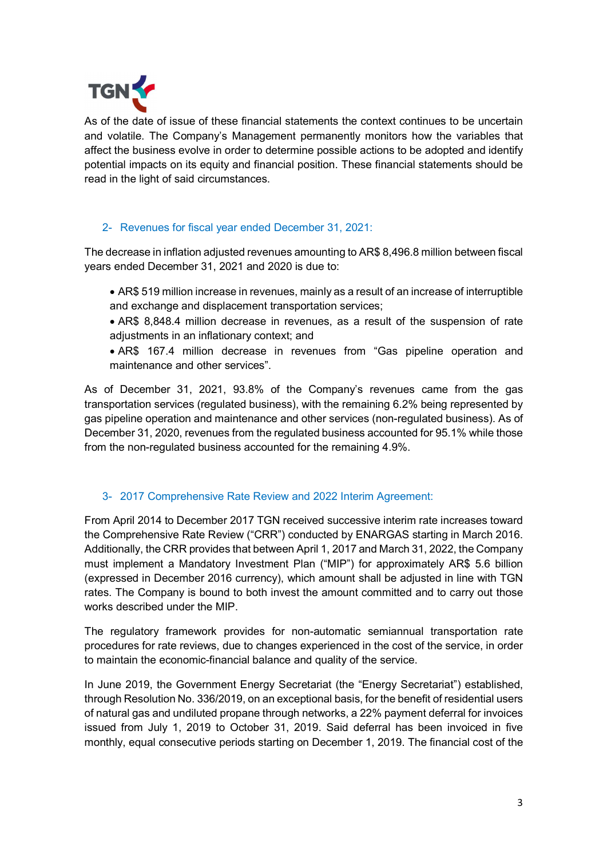

As of the date of issue of these financial statements the context continues to be uncertain and volatile. The Company's Management permanently monitors how the variables that affect the business evolve in order to determine possible actions to be adopted and identify potential impacts on its equity and financial position. These financial statements should be read in the light of said circumstances.

### 2- Revenues for fiscal year ended December 31, 2021:

The decrease in inflation adjusted revenues amounting to AR\$ 8,496.8 million between fiscal years ended December 31, 2021 and 2020 is due to:

- AR\$ 519 million increase in revenues, mainly as a result of an increase of interruptible and exchange and displacement transportation services;
- AR\$ 8,848.4 million decrease in revenues, as a result of the suspension of rate adjustments in an inflationary context; and
- AR\$ 167.4 million decrease in revenues from "Gas pipeline operation and maintenance and other services".

As of December 31, 2021, 93.8% of the Company's revenues came from the gas transportation services (regulated business), with the remaining 6.2% being represented by gas pipeline operation and maintenance and other services (non-regulated business). As of December 31, 2020, revenues from the regulated business accounted for 95.1% while those from the non-regulated business accounted for the remaining 4.9%.

### 3- 2017 Comprehensive Rate Review and 2022 Interim Agreement:

From April 2014 to December 2017 TGN received successive interim rate increases toward the Comprehensive Rate Review ("CRR") conducted by ENARGAS starting in March 2016. Additionally, the CRR provides that between April 1, 2017 and March 31, 2022, the Company must implement a Mandatory Investment Plan ("MIP") for approximately AR\$ 5.6 billion (expressed in December 2016 currency), which amount shall be adjusted in line with TGN rates. The Company is bound to both invest the amount committed and to carry out those works described under the MIP.

The regulatory framework provides for non-automatic semiannual transportation rate procedures for rate reviews, due to changes experienced in the cost of the service, in order to maintain the economic-financial balance and quality of the service.

In June 2019, the Government Energy Secretariat (the "Energy Secretariat") established, through Resolution No. 336/2019, on an exceptional basis, for the benefit of residential users of natural gas and undiluted propane through networks, a 22% payment deferral for invoices issued from July 1, 2019 to October 31, 2019. Said deferral has been invoiced in five monthly, equal consecutive periods starting on December 1, 2019. The financial cost of the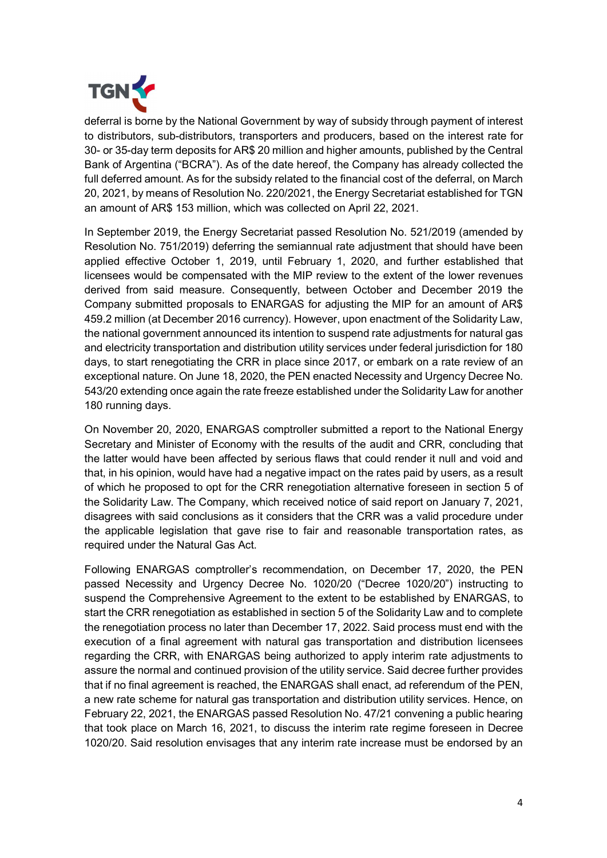

deferral is borne by the National Government by way of subsidy through payment of interest to distributors, sub-distributors, transporters and producers, based on the interest rate for 30- or 35-day term deposits for AR\$ 20 million and higher amounts, published by the Central Bank of Argentina ("BCRA"). As of the date hereof, the Company has already collected the full deferred amount. As for the subsidy related to the financial cost of the deferral, on March 20, 2021, by means of Resolution No. 220/2021, the Energy Secretariat established for TGN an amount of AR\$ 153 million, which was collected on April 22, 2021.

In September 2019, the Energy Secretariat passed Resolution No. 521/2019 (amended by Resolution No. 751/2019) deferring the semiannual rate adjustment that should have been applied effective October 1, 2019, until February 1, 2020, and further established that licensees would be compensated with the MIP review to the extent of the lower revenues derived from said measure. Consequently, between October and December 2019 the Company submitted proposals to ENARGAS for adjusting the MIP for an amount of AR\$ 459.2 million (at December 2016 currency). However, upon enactment of the Solidarity Law, the national government announced its intention to suspend rate adjustments for natural gas and electricity transportation and distribution utility services under federal jurisdiction for 180 days, to start renegotiating the CRR in place since 2017, or embark on a rate review of an exceptional nature. On June 18, 2020, the PEN enacted Necessity and Urgency Decree No. 543/20 extending once again the rate freeze established under the Solidarity Law for another 180 running days.

On November 20, 2020, ENARGAS comptroller submitted a report to the National Energy Secretary and Minister of Economy with the results of the audit and CRR, concluding that the latter would have been affected by serious flaws that could render it null and void and that, in his opinion, would have had a negative impact on the rates paid by users, as a result of which he proposed to opt for the CRR renegotiation alternative foreseen in section 5 of the Solidarity Law. The Company, which received notice of said report on January 7, 2021, disagrees with said conclusions as it considers that the CRR was a valid procedure under the applicable legislation that gave rise to fair and reasonable transportation rates, as required under the Natural Gas Act.

Following ENARGAS comptroller's recommendation, on December 17, 2020, the PEN passed Necessity and Urgency Decree No. 1020/20 ("Decree 1020/20") instructing to suspend the Comprehensive Agreement to the extent to be established by ENARGAS, to start the CRR renegotiation as established in section 5 of the Solidarity Law and to complete the renegotiation process no later than December 17, 2022. Said process must end with the execution of a final agreement with natural gas transportation and distribution licensees regarding the CRR, with ENARGAS being authorized to apply interim rate adjustments to assure the normal and continued provision of the utility service. Said decree further provides that if no final agreement is reached, the ENARGAS shall enact, ad referendum of the PEN, a new rate scheme for natural gas transportation and distribution utility services. Hence, on February 22, 2021, the ENARGAS passed Resolution No. 47/21 convening a public hearing that took place on March 16, 2021, to discuss the interim rate regime foreseen in Decree 1020/20. Said resolution envisages that any interim rate increase must be endorsed by an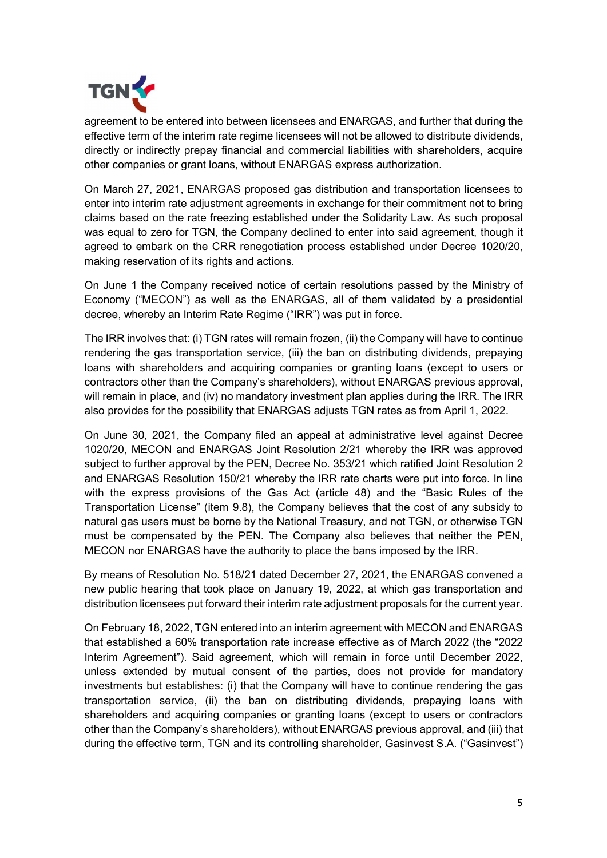

agreement to be entered into between licensees and ENARGAS, and further that during the effective term of the interim rate regime licensees will not be allowed to distribute dividends, directly or indirectly prepay financial and commercial liabilities with shareholders, acquire other companies or grant loans, without ENARGAS express authorization.

On March 27, 2021, ENARGAS proposed gas distribution and transportation licensees to enter into interim rate adjustment agreements in exchange for their commitment not to bring claims based on the rate freezing established under the Solidarity Law. As such proposal was equal to zero for TGN, the Company declined to enter into said agreement, though it agreed to embark on the CRR renegotiation process established under Decree 1020/20, making reservation of its rights and actions.

On June 1 the Company received notice of certain resolutions passed by the Ministry of Economy ("MECON") as well as the ENARGAS, all of them validated by a presidential decree, whereby an Interim Rate Regime ("IRR") was put in force.

The IRR involves that: (i) TGN rates will remain frozen, (ii) the Company will have to continue rendering the gas transportation service, (iii) the ban on distributing dividends, prepaying loans with shareholders and acquiring companies or granting loans (except to users or contractors other than the Company's shareholders), without ENARGAS previous approval, will remain in place, and (iv) no mandatory investment plan applies during the IRR. The IRR also provides for the possibility that ENARGAS adjusts TGN rates as from April 1, 2022.

On June 30, 2021, the Company filed an appeal at administrative level against Decree 1020/20, MECON and ENARGAS Joint Resolution 2/21 whereby the IRR was approved subject to further approval by the PEN, Decree No. 353/21 which ratified Joint Resolution 2 and ENARGAS Resolution 150/21 whereby the IRR rate charts were put into force. In line with the express provisions of the Gas Act (article 48) and the "Basic Rules of the Transportation License" (item 9.8), the Company believes that the cost of any subsidy to natural gas users must be borne by the National Treasury, and not TGN, or otherwise TGN must be compensated by the PEN. The Company also believes that neither the PEN, MECON nor ENARGAS have the authority to place the bans imposed by the IRR.

By means of Resolution No. 518/21 dated December 27, 2021, the ENARGAS convened a new public hearing that took place on January 19, 2022, at which gas transportation and distribution licensees put forward their interim rate adjustment proposals for the current year.

On February 18, 2022, TGN entered into an interim agreement with MECON and ENARGAS that established a 60% transportation rate increase effective as of March 2022 (the "2022 Interim Agreement"). Said agreement, which will remain in force until December 2022, unless extended by mutual consent of the parties, does not provide for mandatory investments but establishes: (i) that the Company will have to continue rendering the gas transportation service, (ii) the ban on distributing dividends, prepaying loans with shareholders and acquiring companies or granting loans (except to users or contractors other than the Company's shareholders), without ENARGAS previous approval, and (iii) that during the effective term, TGN and its controlling shareholder, Gasinvest S.A. ("Gasinvest")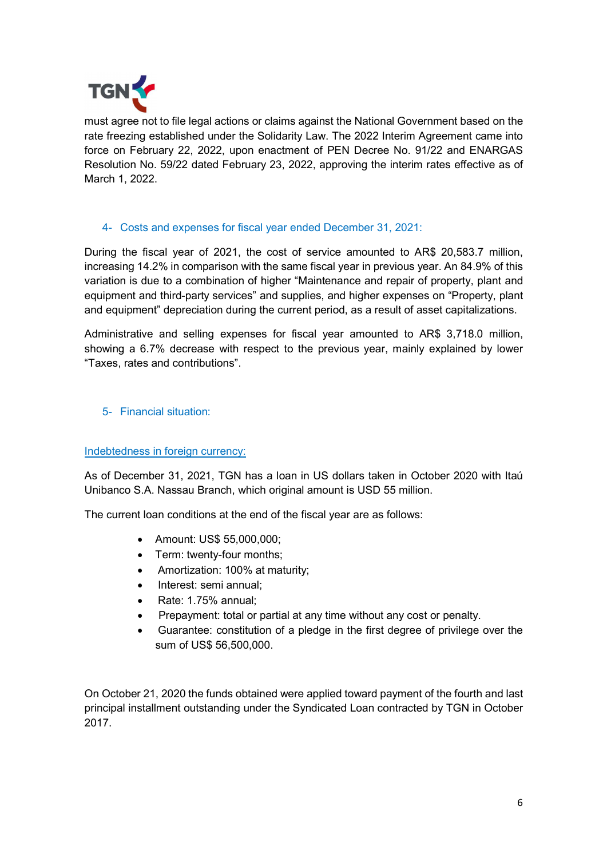

must agree not to file legal actions or claims against the National Government based on the rate freezing established under the Solidarity Law. The 2022 Interim Agreement came into force on February 22, 2022, upon enactment of PEN Decree No. 91/22 and ENARGAS Resolution No. 59/22 dated February 23, 2022, approving the interim rates effective as of March 1, 2022.

## 4- Costs and expenses for fiscal year ended December 31, 2021:

During the fiscal year of 2021, the cost of service amounted to AR\$ 20,583.7 million, increasing 14.2% in comparison with the same fiscal year in previous year. An 84.9% of this variation is due to a combination of higher "Maintenance and repair of property, plant and equipment and third-party services" and supplies, and higher expenses on "Property, plant and equipment" depreciation during the current period, as a result of asset capitalizations.

Administrative and selling expenses for fiscal year amounted to AR\$ 3,718.0 million, showing a 6.7% decrease with respect to the previous year, mainly explained by lower "Taxes, rates and contributions".

## 5- Financial situation:

### Indebtedness in foreign currency:

As of December 31, 2021, TGN has a loan in US dollars taken in October 2020 with Itaú Unibanco S.A. Nassau Branch, which original amount is USD 55 million.

The current loan conditions at the end of the fiscal year are as follows:

- Amount: US\$ 55,000,000;
- Term: twenty-four months;
- Amortization: 100% at maturity;
- Interest: semi annual;
- Rate: 1.75% annual;
- Prepayment: total or partial at any time without any cost or penalty.
- Guarantee: constitution of a pledge in the first degree of privilege over the sum of US\$ 56,500,000.

On October 21, 2020 the funds obtained were applied toward payment of the fourth and last principal installment outstanding under the Syndicated Loan contracted by TGN in October 2017.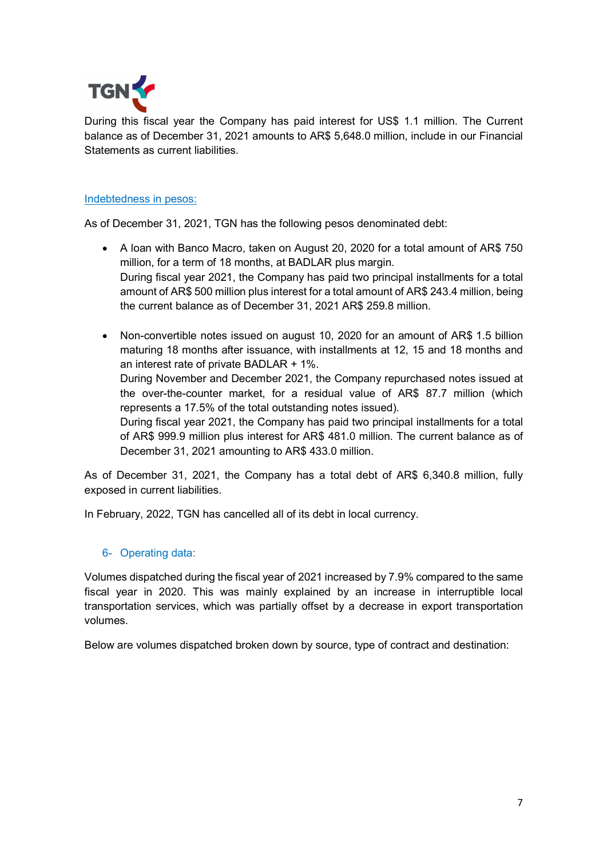

During this fiscal year the Company has paid interest for US\$ 1.1 million. The Current balance as of December 31, 2021 amounts to AR\$ 5,648.0 million, include in our Financial Statements as current liabilities.

#### Indebtedness in pesos:

As of December 31, 2021, TGN has the following pesos denominated debt:

- A loan with Banco Macro, taken on August 20, 2020 for a total amount of AR\$ 750 million, for a term of 18 months, at BADLAR plus margin. During fiscal year 2021, the Company has paid two principal installments for a total amount of AR\$ 500 million plus interest for a total amount of AR\$ 243.4 million, being the current balance as of December 31, 2021 AR\$ 259.8 million.
- Non-convertible notes issued on august 10, 2020 for an amount of AR\$ 1.5 billion maturing 18 months after issuance, with installments at 12, 15 and 18 months and an interest rate of private BADLAR + 1%. During November and December 2021, the Company repurchased notes issued at

the over-the-counter market, for a residual value of AR\$ 87.7 million (which represents a 17.5% of the total outstanding notes issued).

During fiscal year 2021, the Company has paid two principal installments for a total of AR\$ 999.9 million plus interest for AR\$ 481.0 million. The current balance as of December 31, 2021 amounting to AR\$ 433.0 million.

As of December 31, 2021, the Company has a total debt of AR\$ 6,340.8 million, fully exposed in current liabilities.

In February, 2022, TGN has cancelled all of its debt in local currency.

### 6- Operating data:

Volumes dispatched during the fiscal year of 2021 increased by 7.9% compared to the same fiscal year in 2020. This was mainly explained by an increase in interruptible local transportation services, which was partially offset by a decrease in export transportation volumes.

Below are volumes dispatched broken down by source, type of contract and destination: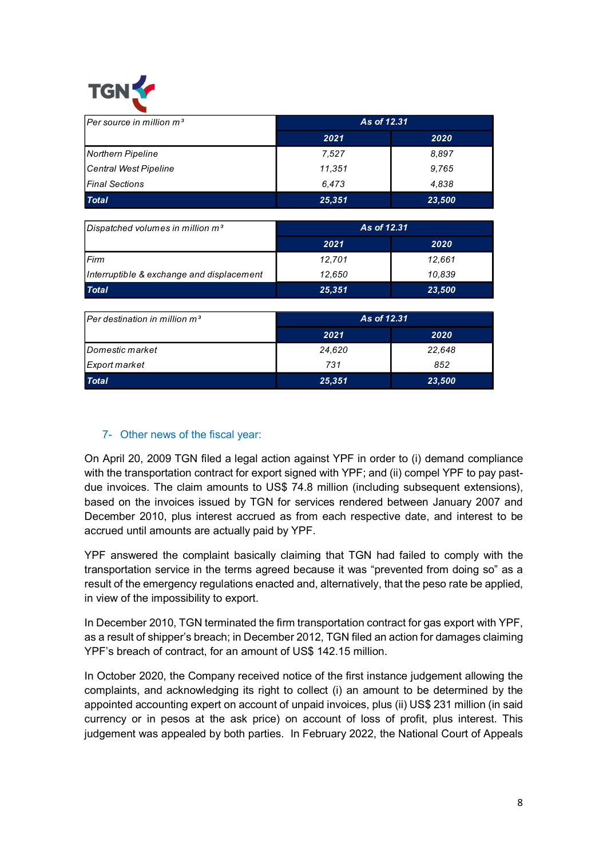

| TGN Y                                        |             |        |  |
|----------------------------------------------|-------------|--------|--|
|                                              |             |        |  |
| Per source in million $m^3$                  | As of 12.31 |        |  |
|                                              | 2021        | 2020   |  |
| Northern Pipeline                            | 7,527       | 8,897  |  |
| Central West Pipeline                        | 11,351      | 9,765  |  |
| <b>Final Sections</b>                        | 6,473       | 4,838  |  |
| <b>Total</b>                                 | 25,351      | 23,500 |  |
|                                              |             |        |  |
| Dispatched volumes in million m <sup>3</sup> | As of 12.31 |        |  |
|                                              | 2021        | 2020   |  |
| Firm                                         | 12,701      | 12,661 |  |
| Interruptible & exchange and displacement    | 12,650      | 10,839 |  |
| <b>Total</b>                                 | 25,351      | 23,500 |  |
| Per destination in million m <sup>3</sup>    | As of 12.31 |        |  |
|                                              | 2021        | 2020   |  |
| Domestic market                              | 24,620      | 22,648 |  |
|                                              | 731         | 852    |  |
|                                              |             |        |  |
| Export market<br><b>Total</b>                | 25,351      | 23,500 |  |

| Dispatched volumes in million $m3$        | As of 12.31 |        |
|-------------------------------------------|-------------|--------|
|                                           | 2021        | 2020   |
| l Firm                                    | 12.701      | 12.661 |
| Interruptible & exchange and displacement | 12.650      | 10.839 |
| <b>Total</b>                              | 25,351      | 23,500 |

| $[Per$ destination in million m <sup>3</sup> | As of 12.31 |        |
|----------------------------------------------|-------------|--------|
|                                              | 2021        | 2020   |
| <i><u><b>Domestic market</b></u></i>         | 24,620      | 22,648 |
| Export market                                | 731         | 852    |
| <b>Total</b>                                 | 25,351      | 23,500 |

## 7- Other news of the fiscal year:

On April 20, 2009 TGN filed a legal action against YPF in order to (i) demand compliance with the transportation contract for export signed with YPF; and (ii) compel YPF to pay pastdue invoices. The claim amounts to US\$ 74.8 million (including subsequent extensions), based on the invoices issued by TGN for services rendered between January 2007 and December 2010, plus interest accrued as from each respective date, and interest to be accrued until amounts are actually paid by YPF.

YPF answered the complaint basically claiming that TGN had failed to comply with the transportation service in the terms agreed because it was "prevented from doing so" as a result of the emergency regulations enacted and, alternatively, that the peso rate be applied, in view of the impossibility to export.

In December 2010, TGN terminated the firm transportation contract for gas export with YPF, as a result of shipper's breach; in December 2012, TGN filed an action for damages claiming YPF's breach of contract, for an amount of US\$ 142.15 million.

In October 2020, the Company received notice of the first instance judgement allowing the complaints, and acknowledging its right to collect (i) an amount to be determined by the appointed accounting expert on account of unpaid invoices, plus (ii) US\$ 231 million (in said currency or in pesos at the ask price) on account of loss of profit, plus interest. This judgement was appealed by both parties. In February 2022, the National Court of Appeals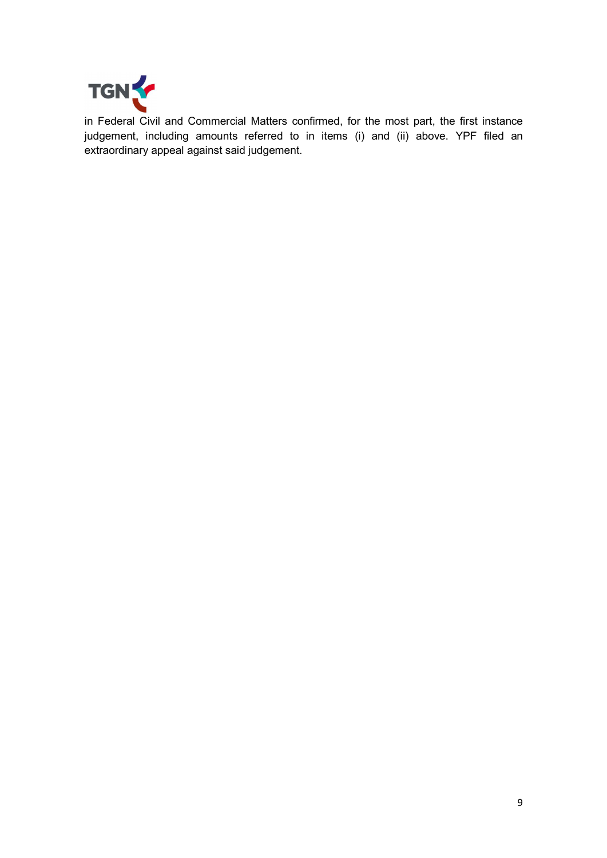

in Federal Civil and Commercial Matters confirmed, for the most part, the first instance judgement, including amounts referred to in items (i) and (ii) above. YPF filed an extraordinary appeal against said judgement.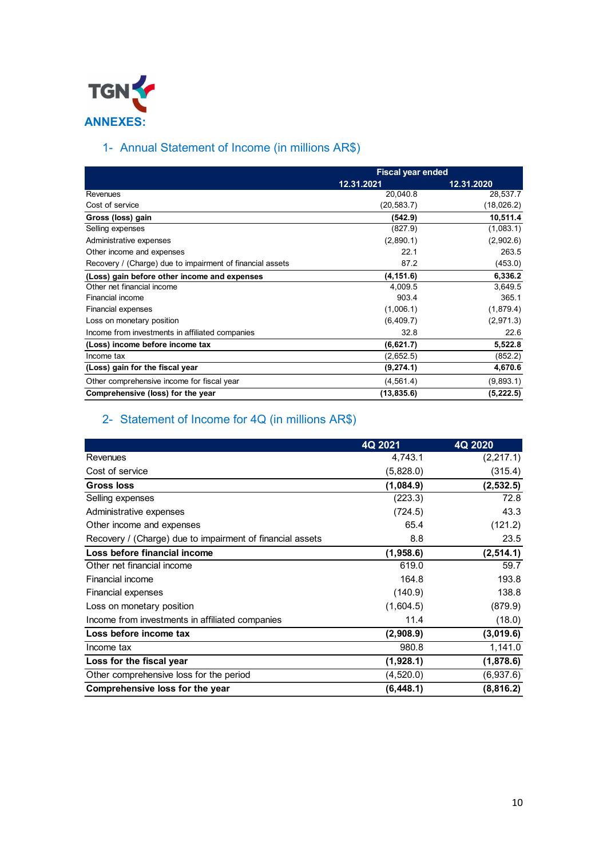

# 1- Annual Statement of Income (in millions AR\$)

| TGN T                                                     |                          |                  |
|-----------------------------------------------------------|--------------------------|------------------|
|                                                           |                          |                  |
| <b>ANNEXES:</b>                                           |                          |                  |
|                                                           |                          |                  |
| 1- Annual Statement of Income (in millions AR\$)          |                          |                  |
|                                                           |                          |                  |
|                                                           | <b>Fiscal year ended</b> |                  |
|                                                           | 12.31.2021               | 12.31.2020       |
| Revenues                                                  | 20,040.8                 | 28,537.7         |
| Cost of service                                           | (20, 583.7)              | (18,026.2)       |
| Gross (loss) gain                                         | (542.9)                  | 10,511.4         |
| Selling expenses                                          | (827.9)                  | (1,083.1)        |
| Administrative expenses                                   | (2,890.1)                | (2,902.6)        |
| Other income and expenses                                 | 22.1                     | 263.5            |
| Recovery / (Charge) due to impairment of financial assets | 87.2                     | (453.0)          |
| (Loss) gain before other income and expenses              | (4, 151.6)               | 6,336.2          |
| Other net financial income<br>Financial income            | 4,009.5<br>903.4         | 3,649.5<br>365.1 |
| Financial expenses                                        | (1,006.1)                | (1,879.4)        |
| Loss on monetary position                                 | (6,409.7)                | (2,971.3)        |
| Income from investments in affiliated companies           | 32.8                     | 22.6             |
| (Loss) income before income tax                           | (6,621.7)                | 5,522.8          |
| Income tax                                                | (2,652.5)                | (852.2)          |
| (Loss) gain for the fiscal year                           | (9, 274.1)               | 4,670.6          |
| Other comprehensive income for fiscal year                | (4, 561.4)               | (9,893.1)        |
| Comprehensive (loss) for the year                         | (13, 835.6)              | (5, 222.5)       |
| 2- Statement of Income for 4Q (in millions AR\$)          |                          | 4Q 2020          |
|                                                           | 4Q 2021                  |                  |
| Revenues                                                  | 4,743.1                  | (2, 217.1)       |
| Cost of service                                           | (5,828.0)                | (315.4)          |
| <b>Gross loss</b>                                         | (1,084.9)                | (2, 532.5)       |
| Selling expenses                                          | (223.3)                  | 72.8             |
| Administrative expenses                                   | (724.5)                  | 43.3             |
|                                                           |                          | (121.2)          |
|                                                           |                          |                  |
| Other income and expenses                                 | 65.4                     |                  |
| Recovery / (Charge) due to impairment of financial assets | 8.8                      | 23.5             |
| Loss before financial income                              | (1,958.6)                | (2, 514.1)       |
| Other net financial income                                | 619.0                    | 59.7<br>$\sim$   |

# 2- Statement of Income for 4Q (in millions AR\$)

| Recovery / (Charge) due to impairment of financial assets                  | 87.2        | (453.0)    |
|----------------------------------------------------------------------------|-------------|------------|
| (Loss) gain before other income and expenses                               | (4, 151.6)  | 6,336.2    |
| Other net financial income                                                 | 4,009.5     | 3,649.5    |
| Financial income                                                           | 903.4       | 365.1      |
| <b>Financial expenses</b>                                                  | (1,006.1)   | (1,879.4)  |
| Loss on monetary position                                                  | (6,409.7)   | (2,971.3)  |
| Income from investments in affiliated companies                            | 32.8        | 22.6       |
| (Loss) income before income tax                                            | (6,621.7)   | 5,522.8    |
| Income tax                                                                 | (2,652.5)   | (852.2)    |
| (Loss) gain for the fiscal year                                            | (9, 274.1)  | 4,670.6    |
| Other comprehensive income for fiscal year                                 | (4, 561.4)  | (9,893.1)  |
| Comprehensive (loss) for the year                                          | (13, 835.6) | (5, 222.5) |
| 2- Statement of Income for 4Q (in millions AR\$)                           | 4Q 2021     | 4Q 2020    |
| Revenues                                                                   | 4,743.1     | (2, 217.1) |
| Cost of service                                                            | (5,828.0)   | (315.4)    |
| <b>Gross loss</b>                                                          | (1,084.9)   | (2, 532.5) |
| Selling expenses                                                           | (223.3)     | 72.8       |
| Administrative expenses                                                    | (724.5)     | 43.3       |
| Other income and expenses                                                  | 65.4        | (121.2)    |
| Recovery / (Charge) due to impairment of financial assets                  | 8.8         | 23.5       |
| Loss before financial income                                               | (1,958.6)   | (2, 514.1) |
| Other net financial income                                                 | 619.0       | 59.7       |
| Financial income                                                           | 164.8       | 193.8      |
| Financial expenses                                                         | (140.9)     | 138.8      |
| Loss on monetary position                                                  | (1,604.5)   | (879.9)    |
| Income from investments in affiliated companies                            | 11.4        | (18.0)     |
| Loss before income tax                                                     | (2,908.9)   | (3,019.6)  |
| Income tax                                                                 | 980.8       | 1,141.0    |
| Loss for the fiscal year                                                   | (1,928.1)   | (1,878.6)  |
|                                                                            | (4,520.0)   | (6,937.6)  |
|                                                                            |             |            |
| Other comprehensive loss for the period<br>Comprehensive loss for the year | (6, 448.1)  | (8,816.2)  |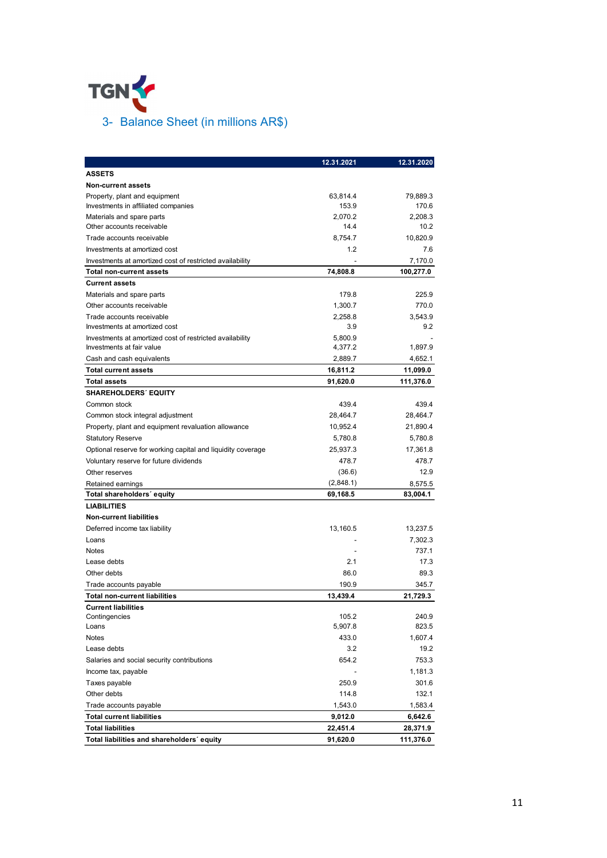

| 3- Balance Sheet (in millions AR\$)                                                   |                          |                  |
|---------------------------------------------------------------------------------------|--------------------------|------------------|
| TGN Y                                                                                 |                          |                  |
|                                                                                       |                          |                  |
|                                                                                       |                          |                  |
|                                                                                       |                          |                  |
|                                                                                       |                          |                  |
|                                                                                       |                          |                  |
|                                                                                       |                          |                  |
|                                                                                       |                          |                  |
|                                                                                       |                          |                  |
|                                                                                       |                          |                  |
|                                                                                       |                          |                  |
|                                                                                       |                          |                  |
|                                                                                       |                          |                  |
|                                                                                       |                          |                  |
|                                                                                       |                          |                  |
|                                                                                       | 12.31.2021               | 12.31.2020       |
| <b>ASSETS</b>                                                                         |                          |                  |
| <b>Non-current assets</b>                                                             |                          |                  |
| Property, plant and equipment                                                         | 63,814.4                 | 79,889.3         |
| Investments in affiliated companies                                                   | 153.9                    | 170.6            |
| Materials and spare parts                                                             | 2,070.2                  | 2,208.3          |
| Other accounts receivable                                                             | 14.4<br>8,754.7          | 10.2<br>10,820.9 |
| Trade accounts receivable<br>Investments at amortized cost                            | 1.2                      | 7.6              |
| Investments at amortized cost of restricted availability                              | ۰                        | 7,170.0          |
| <b>Total non-current assets</b>                                                       | 74,808.8                 | 100,277.0        |
| <b>Current assets</b>                                                                 |                          |                  |
| Materials and spare parts                                                             | 179.8                    | 225.9            |
| Other accounts receivable                                                             | 1,300.7                  | 770.0            |
| Trade accounts receivable                                                             | 2,258.8                  | 3,543.9          |
| Investments at amortized cost                                                         | 3.9                      | 9.2              |
| Investments at amortized cost of restricted availability<br>Investments at fair value | 5,800.9<br>4,377.2       | 1,897.9          |
| Cash and cash equivalents                                                             | 2,889.7                  | 4,652.1          |
| <b>Total current assets</b>                                                           | 16,811.2                 | 11,099.0         |
| <b>Total assets</b>                                                                   | 91,620.0                 | 111,376.0        |
| <b>SHAREHOLDERS' EQUITY</b>                                                           |                          |                  |
| Common stock                                                                          | 439.4                    | 439.4            |
| Common stock integral adjustment                                                      | 28,464.7                 | 28,464.7         |
| Property, plant and equipment revaluation allowance                                   | 10,952.4                 | 21,890.4         |
| <b>Statutory Reserve</b>                                                              | 5,780.8                  | 5,780.8          |
| Optional reserve for working capital and liquidity coverage                           | 25,937.3                 | 17,361.8         |
| Voluntary reserve for future dividends                                                | 478.7                    | 478.7            |
| Other reserves                                                                        | (36.6)                   | 12.9             |
| Retained earnings                                                                     | (2,848.1)                | 8,575.5          |
| Total shareholders' equity                                                            | 69,168.5                 | 83,004.1         |
| <b>LIABILITIES</b>                                                                    |                          |                  |
| <b>Non-current liabilities</b><br>Deferred income tax liability                       | 13,160.5                 | 13,237.5         |
| Loans                                                                                 | $\overline{\phantom{a}}$ | 7,302.3          |
| Notes                                                                                 | $\overline{a}$           | 737.1            |
| Lease debts                                                                           | 2.1                      | 17.3             |
| Other debts                                                                           | 86.0                     | 89.3             |
| Trade accounts payable                                                                | 190.9                    | 345.7            |
| <b>Total non-current liabilities</b>                                                  | 13,439.4                 | 21,729.3         |
| <b>Current liabilities</b>                                                            |                          |                  |
| Contingencies                                                                         | 105.2                    | 240.9            |
| Loans<br>Notes                                                                        | 5,907.8<br>433.0         | 823.5<br>1,607.4 |
| Lease debts                                                                           | 3.2                      | 19.2             |
| Salaries and social security contributions                                            | 654.2                    | 753.3            |
| Income tax, payable                                                                   | ٠                        | 1,181.3          |
| Taxes payable                                                                         | 250.9                    | 301.6            |
| Other debts                                                                           | 114.8                    | 132.1            |
| Trade accounts payable                                                                | 1,543.0                  | 1,583.4          |
| <b>Total current liabilities</b>                                                      | 9,012.0                  | 6,642.6          |
|                                                                                       | 22,451.4                 | 28,371.9         |
| <b>Total liabilities</b>                                                              |                          |                  |